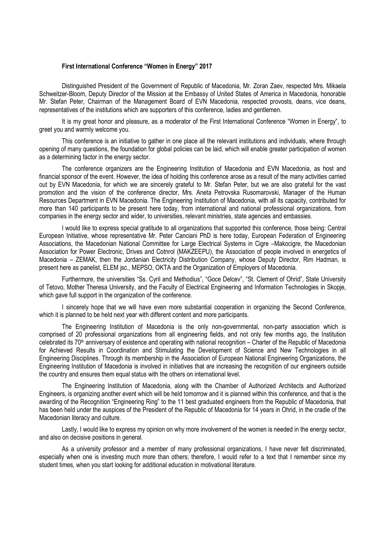## First International Conference "Women in Energy" 2017

Distinguished President of the Government of Republic of Macedonia, Mr. Zoran Zaev, respected Mrs. Mikaela Schweitzer-Bloom, Deputy Director of the Mission at the Embassy of United States of America in Macedonia, honorable Mr. Stefan Peter, Chairman of the Management Board of EVN Macedonia, respected provosts, deans, vice deans, representatives of the institutions which are supporters of this conference, ladies and gentlemen.

It is my great honor and pleasure, as a moderator of the First International Conference "Women in Energy", to greet you and warmly welcome you.

This conference is an initiative to gather in one place all the relevant institutions and individuals, where through opening of many questions, the foundation for global policies can be laid, which will enable greater participation of women as a determining factor in the energy sector.

The conference organizers are the Engineering Institution of Macedonia and EVN Macedonia, as host and financial sponsor of the event. However, the idea of holding this conference arose as a result of the many activities carried out by EVN Macedonia, for which we are sincerely grateful to Mr. Stefan Peter, but we are also grateful for the vast promotion and the vision of the conference director, Mrs. Aneta Petrovska Rusomarovski, Manager of the Human Resources Department in EVN Macedonia. The Engineering Institution of Macedonia, with all its capacity, contributed for more than 140 participants to be present here today, from international and national professional organizations, from companies in the energy sector and wider, to universities, relevant ministries, state agencies and embassies.

I would like to express special gratitude to all organizations that supported this conference, those being: Central European Initiative, whose representative Mr. Peter Canciani PhD is here today, European Federation of Engineering Associations, the Macedonian National Committee for Large Electrical Systems in Cigre –Makocigre, the Macedonian Association for Power Electronic, Drives and Cotnrol (MAKZEEPU), the Association of people involved in energetics of Macedonia – ZEMAK, then the Jordanian Electricity Distribution Company, whose Deputy Director, Rim Hadman, is present here as panelist, ELEM jsc., MEPSO, OKTA and the Organization of Employers of Macedonia.

Furthermore, the universities "Ss. Cyril and Methodius", "Goce Delcev", "St. Clement of Ohrid", State University of Tetovo, Mother Theresa University, and the Faculty of Electrical Engineering and Information Technologies in Skopje, which gave full support in the organization of the conference.

I sincerely hope that we will have even more substantial cooperation in organizing the Second Conference, which it is planned to be held next year with different content and more participants.

The Engineering Institution of Macedonia is the only non-governmental, non-party association which is comprised of 20 professional organizations from all engineering fields, and not only few months ago, the Institution celebrated its 70<sup>th</sup> anniversary of existence and operating with national recognition – Charter of the Republic of Macedonia for Achieved Results in Coordination and Stimulating the Development of Science and New Technologies in all Engineering Disciplines. Through its membership in the Association of European National Engineering Organizations, the Engineering Institution of Macedonia is involved in initiatives that are increasing the recognition of our engineers outside the country and ensures them equal status with the others on international level.

The Engineering Institution of Macedonia, along with the Chamber of Authorized Architects and Authorized Engineers, is organizing another event which will be held tomorrow and it is planned within this conference, and that is the awarding of the Recognition "Engineering Ring" to the 11 best graduated engineers from the Republic of Macedonia, that has been held under the auspices of the President of the Republic of Macedonia for 14 years in Ohrid, in the cradle of the Macedonian literacy and culture.

Lastly, I would like to express my opinion on why more involvement of the women is needed in the energy sector, and also on decisive positions in general.

As a university professor and a member of many professional organizations, I have never felt discriminated, especially when one is investing much more than others; therefore, I would refer to a text that I remember since my student times, when you start looking for additional education in motivational literature.